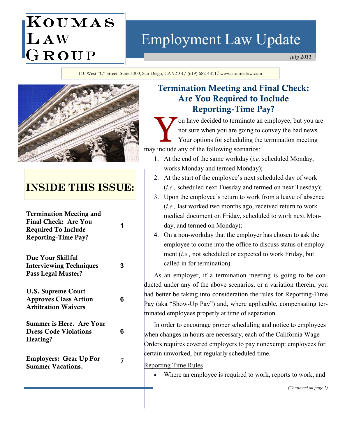# KOUMAS LAW<br>GROUP

## Employment Law Update

July 2011

110 West "C" Street, Suite 1300, San Diego, CA 92101/ (619) 682-4811/ www.koumaslaw.com



## INSIDE THIS ISSUE:

| <b>Termination Meeting and</b><br><b>Final Check: Are You</b><br><b>Required To Include</b><br><b>Reporting-Time Pay?</b> | 1 |
|---------------------------------------------------------------------------------------------------------------------------|---|
| Due Your Skillful<br><b>Interviewing Techniques</b><br>Pass Legal Muster?                                                 | 3 |
| <b>U.S. Supreme Court</b><br><b>Approves Class Action</b><br><b>Arbitration Waivers</b>                                   | 6 |
| <b>Summer is Here. Are Your</b><br><b>Dress Code Violations</b><br>Heating?                                               | 6 |
| <b>Employers: Gear Up For</b><br><b>Summer Vacations.</b>                                                                 | 7 |

## Termination Meeting and Final Check: Are You Required to Include Reporting-Time Pay?

ou have decided to terminate an employee, but you are not sure when you are going to convey the bad news. Your options for scheduling the termination meeting may include any of the following scenarios:

- 1. At the end of the same workday  $(i.e., s$  scheduled Monday, works Monday and termed Monday);
- 2. At the start of the employee's next scheduled day of work (i.e., scheduled next Tuesday and termed on next Tuesday);
- 3. Upon the employee's return to work from a leave of absence (i.e., last worked two months ago, received return to work medical document on Friday, scheduled to work next Monday, and termed on Monday);
- 4. On a non-workday that the employer has chosen to ask the employee to come into the office to discuss status of employment (i.e., not scheduled or expected to work Friday, but called in for termination).

As an employer, if a termination meeting is going to be conducted under any of the above scenarios, or a variation therein, you had better be taking into consideration the rules for Reporting-Time Pay (aka "Show-Up Pay") and, where applicable, compensating terminated employees properly at time of separation.

In order to encourage proper scheduling and notice to employees when changes in hours are necessary, each of the California Wage Orders requires covered employers to pay nonexempt employees for certain unworked, but regularly scheduled time.

Reporting Time Rules

Where an employee is required to work, reports to work, and

(Continued on page 2)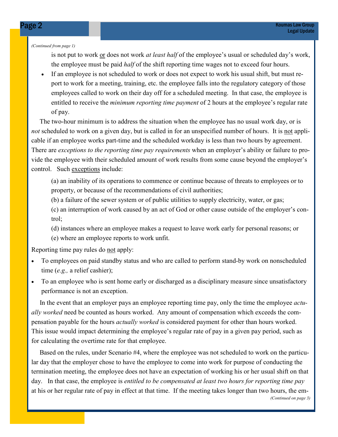(Continued from page 1)

is not put to work or does not work *at least half* of the employee's usual or scheduled day's work, the employee must be paid *half* of the shift reporting time wages not to exceed four hours.

• If an employee is not scheduled to work or does not expect to work his usual shift, but must report to work for a meeting, training, etc. the employee falls into the regulatory category of those employees called to work on their day off for a scheduled meeting. In that case, the employee is entitled to receive the *minimum reporting time payment* of 2 hours at the employee's regular rate of pay.

 The two-hour minimum is to address the situation when the employee has no usual work day, or is not scheduled to work on a given day, but is called in for an unspecified number of hours. It is not applicable if an employee works part-time and the scheduled workday is less than two hours by agreement. There are *exceptions to the reporting time pay requirements* when an employer's ability or failure to provide the employee with their scheduled amount of work results from some cause beyond the employer's control. Such exceptions include:

(a) an inability of its operations to commence or continue because of threats to employees or to property, or because of the recommendations of civil authorities;

(b) a failure of the sewer system or of public utilities to supply electricity, water, or gas;

(c) an interruption of work caused by an act of God or other cause outside of the employer's control;

(d) instances where an employee makes a request to leave work early for personal reasons; or

(e) where an employee reports to work unfit.

Reporting time pay rules do not apply:

- To employees on paid standby status and who are called to perform stand-by work on nonscheduled time (e.g., a relief cashier);
- To an employee who is sent home early or discharged as a disciplinary measure since unsatisfactory performance is not an exception.

In the event that an employer pays an employee reporting time pay, only the time the employee *actu*ally worked need be counted as hours worked. Any amount of compensation which exceeds the compensation payable for the hours actually worked is considered payment for other than hours worked. This issue would impact determining the employee's regular rate of pay in a given pay period, such as for calculating the overtime rate for that employee.

 Based on the rules, under Scenario #4, where the employee was not scheduled to work on the particular day that the employer chose to have the employee to come into work for purpose of conducting the termination meeting, the employee does not have an expectation of working his or her usual shift on that day. In that case, the employee is entitled to be compensated at least two hours for reporting time pay at his or her regular rate of pay in effect at that time. If the meeting takes longer than two hours, the em-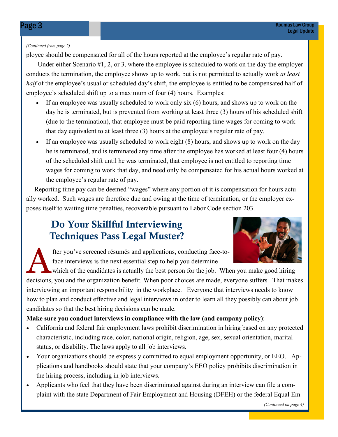#### (Continued from page 2)

ployee should be compensated for all of the hours reported at the employee's regular rate of pay.

 Under either Scenario #1, 2, or 3, where the employee is scheduled to work on the day the employer conducts the termination, the employee shows up to work, but is not permitted to actually work *at least* half of the employee's usual or scheduled day's shift, the employee is entitled to be compensated half of employee's scheduled shift up to a maximum of four (4) hours. Examples:

- If an employee was usually scheduled to work only six (6) hours, and shows up to work on the day he is terminated, but is prevented from working at least three (3) hours of his scheduled shift (due to the termination), that employee must be paid reporting time wages for coming to work that day equivalent to at least three (3) hours at the employee's regular rate of pay.
- If an employee was usually scheduled to work eight (8) hours, and shows up to work on the day he is terminated, and is terminated any time after the employee has worked at least four (4) hours of the scheduled shift until he was terminated, that employee is not entitled to reporting time wages for coming to work that day, and need only be compensated for his actual hours worked at the employee's regular rate of pay.

 Reporting time pay can be deemed "wages" where any portion of it is compensation for hours actually worked. Such wages are therefore due and owing at the time of termination, or the employer exposes itself to waiting time penalties, recoverable pursuant to Labor Code section 203.

## Do Your Skillful Interviewing Techniques Pass Legal Muster?



The you've screened résumés and applications, conducting face-to-<br>face interviews is the next essential step to help you determine<br>which of the candidates is actually the best person for the job. When you make good hiring face interviews is the next essential step to help you determine

decisions, you and the organization benefit. When poor choices are made, everyone suffers. That makes interviewing an important responsibility in the workplace. Everyone that interviews needs to know how to plan and conduct effective and legal interviews in order to learn all they possibly can about job candidates so that the best hiring decisions can be made.

#### Make sure you conduct interviews in compliance with the law (and company policy):

- California and federal fair employment laws prohibit discrimination in hiring based on any protected characteristic, including race, color, national origin, religion, age, sex, sexual orientation, marital status, or disability. The laws apply to all job interviews.
- Your organizations should be expressly committed to equal employment opportunity, or EEO. Applications and handbooks should state that your company's EEO policy prohibits discrimination in the hiring process, including in job interviews.
- Applicants who feel that they have been discriminated against during an interview can file a complaint with the state Department of Fair Employment and Housing (DFEH) or the federal Equal Em-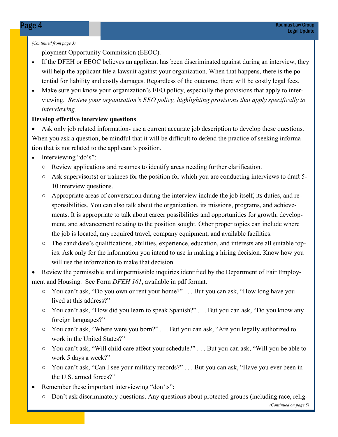#### (Continued from page 3)

ployment Opportunity Commission (EEOC).

- If the DFEH or EEOC believes an applicant has been discriminated against during an interview, they will help the applicant file a lawsuit against your organization. When that happens, there is the potential for liability and costly damages. Regardless of the outcome, there will be costly legal fees.
- Make sure you know your organization's EEO policy, especially the provisions that apply to interviewing. Review your organization's EEO policy, highlighting provisions that apply specifically to interviewing.

#### Develop effective interview questions.

• Ask only job related information- use a current accurate job description to develop these questions. When you ask a question, be mindful that it will be difficult to defend the practice of seeking information that is not related to the applicant's position.

- Interviewing "do's":
	- Review applications and resumes to identify areas needing further clarification.
	- $\circ$  Ask supervisor(s) or trainees for the position for which you are conducting interviews to draft 5-10 interview questions.
	- Appropriate areas of conversation during the interview include the job itself, its duties, and responsibilities. You can also talk about the organization, its missions, programs, and achievements. It is appropriate to talk about career possibilities and opportunities for growth, development, and advancement relating to the position sought. Other proper topics can include where the job is located, any required travel, company equipment, and available facilities.
	- The candidate's qualifications, abilities, experience, education, and interests are all suitable topics. Ask only for the information you intend to use in making a hiring decision. Know how you will use the information to make that decision.
- Review the permissible and impermissible inquiries identified by the Department of Fair Employment and Housing. See Form *DFEH 161*, available in pdf format.
	- You can't ask, "Do you own or rent your home?" . . . But you can ask, "How long have you lived at this address?"
	- You can't ask, "How did you learn to speak Spanish?" . . . But you can ask, "Do you know any foreign languages?"
	- You can't ask, "Where were you born?" . . . But you can ask, "Are you legally authorized to work in the United States?"
	- You can't ask, "Will child care affect your schedule?" . . . But you can ask, "Will you be able to work 5 days a week?"
	- You can't ask, "Can I see your military records?" . . . But you can ask, "Have you ever been in the U.S. armed forces?"
- Remember these important interviewing "don'ts":
	- Don't ask discriminatory questions. Any questions about protected groups (including race, relig-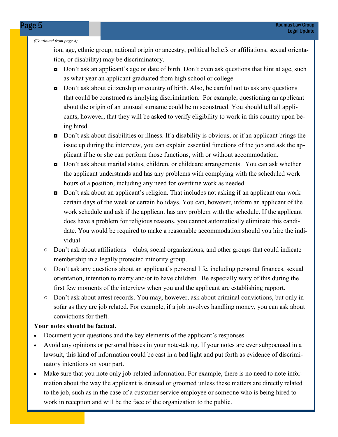#### (Continued from page 4)

ion, age, ethnic group, national origin or ancestry, political beliefs or affiliations, sexual orientation, or disability) may be discriminatory.

- Don't ask an applicant's age or date of birth. Don't even ask questions that hint at age, such as what year an applicant graduated from high school or college.
- Don't ask about citizenship or country of birth. Also, be careful not to ask any questions that could be construed as implying discrimination. For example, questioning an applicant about the origin of an unusual surname could be misconstrued. You should tell all applicants, however, that they will be asked to verify eligibility to work in this country upon being hired.
- Don't ask about disabilities or illness. If a disability is obvious, or if an applicant brings the issue up during the interview, you can explain essential functions of the job and ask the applicant if he or she can perform those functions, with or without accommodation.
- ◘ Don't ask about marital status, children, or childcare arrangements. You can ask whether the applicant understands and has any problems with complying with the scheduled work hours of a position, including any need for overtime work as needed.
- ◘ Don't ask about an applicant's religion. That includes not asking if an applicant can work certain days of the week or certain holidays. You can, however, inform an applicant of the work schedule and ask if the applicant has any problem with the schedule. If the applicant does have a problem for religious reasons, you cannot automatically eliminate this candidate. You would be required to make a reasonable accommodation should you hire the individual.
- Don't ask about affiliations—clubs, social organizations, and other groups that could indicate membership in a legally protected minority group.
- Don't ask any questions about an applicant's personal life, including personal finances, sexual orientation, intention to marry and/or to have children. Be especially wary of this during the first few moments of the interview when you and the applicant are establishing rapport.
- Don't ask about arrest records. You may, however, ask about criminal convictions, but only insofar as they are job related. For example, if a job involves handling money, you can ask about convictions for theft.

#### Your notes should be factual.

- Document your questions and the key elements of the applicant's responses.
- Avoid any opinions or personal biases in your note-taking. If your notes are ever subpoenaed in a lawsuit, this kind of information could be cast in a bad light and put forth as evidence of discriminatory intentions on your part.
- Make sure that you note only job-related information. For example, there is no need to note information about the way the applicant is dressed or groomed unless these matters are directly related to the job, such as in the case of a customer service employee or someone who is being hired to work in reception and will be the face of the organization to the public.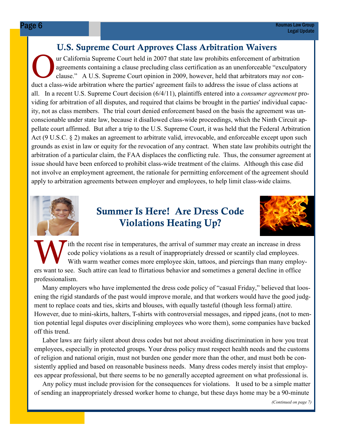## U.S. Supreme Court Approves Class Arbitration Waivers

**O.S. Supreme Court Approves Class Arbitration Waivers**<br>are Court held in 2007 that state law prohibits enforcement of arbitration<br>agreements containing a clause precluding class certification as an unenforceable "exculpat agreements containing a clause precluding class certification as an unenforceable "exculpatory clause." A U.S. Supreme Court opinion in 2009, however, held that arbitrators may not conduct a class-wide arbitration where the parties' agreement fails to address the issue of class actions at all. In a recent U.S. Supreme Court decision (6/4/11), plaintiffs entered into a consumer agreement providing for arbitration of all disputes, and required that claims be brought in the parties' individual capacity, not as class members. The trial court denied enforcement based on the basis the agreement was unconscionable under state law, because it disallowed class-wide proceedings, which the Ninth Circuit appellate court affirmed. But after a trip to the U.S. Supreme Court, it was held that the Federal Arbitration Act (9 U.S.C. § 2) makes an agreement to arbitrate valid, irrevocable, and enforceable except upon such grounds as exist in law or equity for the revocation of any contract. When state law prohibits outright the arbitration of a particular claim, the FAA displaces the conflicting rule. Thus, the consumer agreement at issue should have been enforced to prohibit class-wide treatment of the claims. Although this case did not involve an employment agreement, the rationale for permitting enforcement of the agreement should apply to arbitration agreements between employer and employees, to help limit class-wide claims.



## Summer Is Here! Are Dress Code Violations Heating Up?



ith the recent rise in temperatures, the arrival of summer may create an increase in dress code policy violations as a result of inappropriately dressed or scantily clad employees. With warm weather comes more employee skin, tattoos, and piercings than many employers want to see. Such attire can lead to flirtatious behavior and sometimes a general decline in office professionalism.

 Many employers who have implemented the dress code policy of "casual Friday," believed that loosening the rigid standards of the past would improve morale, and that workers would have the good judgment to replace coats and ties, skirts and blouses, with equally tasteful (though less formal) attire. However, due to mini-skirts, halters, T-shirts with controversial messages, and ripped jeans, (not to mention potential legal disputes over disciplining employees who wore them), some companies have backed off this trend.

 Labor laws are fairly silent about dress codes but not about avoiding discrimination in how you treat employees, especially in protected groups. Your dress policy must respect health needs and the customs of religion and national origin, must not burden one gender more than the other, and must both be consistently applied and based on reasonable business needs. Many dress codes merely insist that employees appear professional, but there seems to be no generally accepted agreement on what professional is.

 Any policy must include provision for the consequences for violations. It used to be a simple matter of sending an inappropriately dressed worker home to change, but these days home may be a 90-minute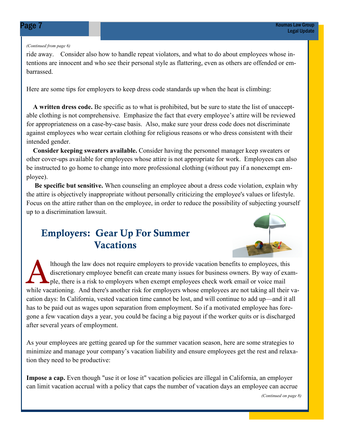#### (Continued from page 6)

ride away. Consider also how to handle repeat violators, and what to do about employees whose intentions are innocent and who see their personal style as flattering, even as others are offended or embarrassed.

Here are some tips for employers to keep dress code standards up when the heat is climbing:

 A written dress code. Be specific as to what is prohibited, but be sure to state the list of unacceptable clothing is not comprehensive. Emphasize the fact that every employee's attire will be reviewed for appropriateness on a case-by-case basis. Also, make sure your dress code does not discriminate against employees who wear certain clothing for religious reasons or who dress consistent with their intended gender.

 Consider keeping sweaters available. Consider having the personnel manager keep sweaters or other cover-ups available for employees whose attire is not appropriate for work. Employees can also be instructed to go home to change into more professional clothing (without pay if a nonexempt employee).

 Be specific but sensitive. When counseling an employee about a dress code violation, explain why the attire is objectively inappropriate without personally criticizing the employee's values or lifestyle. Focus on the attire rather than on the employee, in order to reduce the possibility of subjecting yourself up to a discrimination lawsuit.

## Employers: Gear Up For Summer **Vacations**



Ithough the law does not require employers to provide vacation benefits to employees, this discretionary employee benefit can create many issues for business owners. By way of example, there is a risk to employers when exempt employees check work email or voice mail while vacationing. And there's another risk for employers whose employees are not taking all their vacation days: In California, vested vacation time cannot be lost, and will continue to add up—and it all has to be paid out as wages upon separation from employment. So if a motivated employee has foregone a few vacation days a year, you could be facing a big payout if the worker quits or is discharged after several years of employment.

As your employees are getting geared up for the summer vacation season, here are some strategies to minimize and manage your company's vacation liability and ensure employees get the rest and relaxation they need to be productive:

Impose a cap. Even though "use it or lose it" vacation policies are illegal in California, an employer can limit vacation accrual with a policy that caps the number of vacation days an employee can accrue

(Continued on page 8)